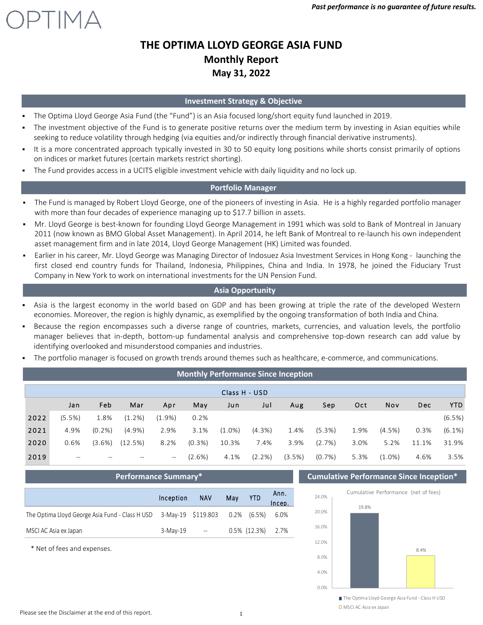

### **Investment Strategy & Objective**

- The Optima Lloyd George Asia Fund (the "Fund") is an Asia focused long/short equity fund launched in 2019.
- The investment objective of the Fund is to generate positive returns over the medium term by investing in Asian equities while seeking to reduce volatility through hedging (via equities and/or indirectly through financial derivative instruments).
- It is a more concentrated approach typically invested in 30 to 50 equity long positions while shorts consist primarily of options on indices or market futures (certain markets restrict shorting).
- The Fund provides access in a UCITS eligible investment vehicle with daily liquidity and no lock up.

## **Portfolio Manager**

- The Fund is managed by Robert Lloyd George, one of the pioneers of investing in Asia. He is a highly regarded portfolio manager with more than four decades of experience managing up to \$17.7 billion in assets.
- Mr. Lloyd George is best-known for founding Lloyd George Management in 1991 which was sold to Bank of Montreal in January 2011 (now known as BMO Global Asset Management). In April 2014, he left Bank of Montreal to re‐launch his own independent asset management firm and in late 2014, Lloyd George Management (HK) Limited was founded.
- Earlier in his career, Mr. Lloyd George was Managing Director of Indosuez Asia Investment Services in Hong Kong ‐ launching the first closed end country funds for Thailand, Indonesia, Philippines, China and India. In 1978, he joined the Fiduciary Trust Company in New York to work on international investments for the UN Pension Fund.

## **Asia Opportunity**

- Asia is the largest economy in the world based on GDP and has been growing at triple the rate of the developed Western economies. Moreover, the region is highly dynamic, as exemplified by the ongoing transformation of both India and China.
- Because the region encompasses such a diverse range of countries, markets, currencies, and valuation levels, the portfolio manager believes that in‐depth, bottom‐up fundamental analysis and comprehensive top‐down research can add value by identifying overlooked and misunderstood companies and industries.
- The portfolio manager is focused on growth trends around themes such as healthcare, e-commerce, and communications.

|      | <b>Monthly Performance Since Inception</b> |                        |           |                                    |           |               |           |        |        |      |           |       |           |
|------|--------------------------------------------|------------------------|-----------|------------------------------------|-----------|---------------|-----------|--------|--------|------|-----------|-------|-----------|
|      |                                            |                        |           |                                    |           | Class H - USD |           |        |        |      |           |       |           |
|      | Jan                                        | Feb                    | Mar       | Apr                                | May       | Jun           | Jul       | Aug    | Sep    | Oct  | Nov       | Dec   | YTD.      |
| 2022 | (5.5%)                                     | 1.8%                   | $(1.2\%)$ | $(1.9\%)$                          | 0.2%      |               |           |        |        |      |           |       | $(6.5\%)$ |
| 2021 | 4.9%                                       | $(0.2\%)$              | $(4.9\%)$ | 2.9%                               | 3.1%      | $(1.0\%)$     | $(4.3\%)$ | 1.4%   | (5.3%) | 1.9% | (4.5%)    | 0.3%  | $(6.1\%)$ |
| 2020 | 0.6%                                       | $(3.6\%)$              | (12.5%)   | 8.2%                               | $(0.3\%)$ | 10.3%         | 7.4%      | 3.9%   | (2.7%) | 3.0% | 5.2%      | 11.1% | 31.9%     |
| 2019 | $\hspace{0.05cm}$                          | $\qquad \qquad \cdots$ | --        | $\hspace{0.05cm} -\hspace{0.05cm}$ | (2.6%)    | 4.1%          | $(2.2\%)$ | (3.5%) | (0.7%) | 5.3% | $(1.0\%)$ | 4.6%  | 3.5%      |

|                                                                                | Inception | <b>NAV</b>      | Mav | <b>YTD</b>           | Ann.<br>Incep. |
|--------------------------------------------------------------------------------|-----------|-----------------|-----|----------------------|----------------|
| The Optima Lloyd George Asia Fund - Class H USD 3-May-19 \$119.803 0.2% (6.5%) |           |                 |     |                      | 6.0%           |
| MSCI AC Asia ex Japan                                                          | 3-Mav-19  | $\sim 10^{-10}$ |     | $0.5\%$ (12.3%) 2.7% |                |

\* Net of fees and expenses.

**Performance Summary\* Cumulative Performance Since Inception\***



<sup>■</sup> The Optima Lloyd George Asia Fund - Class H USD ■ MSCI AC Asia ex Japan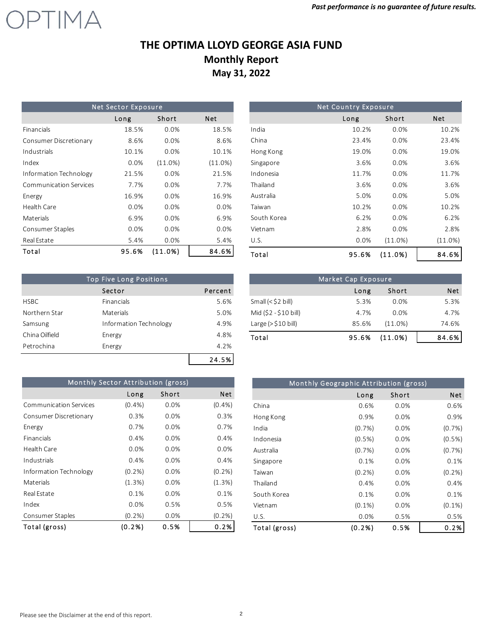

|                               | <b>Net Sector Exposure</b> |            |            |
|-------------------------------|----------------------------|------------|------------|
|                               | Long                       | Short      | Net        |
| Financials                    | 18.5%                      | 0.0%       | 18.5%      |
| Consumer Discretionary        | 8.6%                       | 0.0%       | 8.6%       |
| Industrials                   | 10.1%                      | 0.0%       | 10.1%      |
| Index                         | 0.0%                       | (11.0%)    | $(11.0\%)$ |
| Information Technology        | 21.5%                      | 0.0%       | 21.5%      |
| <b>Communication Services</b> | 7.7%                       | 0.0%       | 7.7%       |
| Energy                        | 16.9%                      | 0.0%       | 16.9%      |
| Health Care                   | 0.0%                       | 0.0%       | 0.0%       |
| Materials                     | 6.9%                       | 0.0%       | 6.9%       |
| Consumer Staples              | 0.0%                       | 0.0%       | 0.0%       |
| Real Estate                   | 5.4%                       | 0.0%       | 5.4%       |
| Total                         | 95.6%                      | $(11.0\%)$ | 84.6%      |

| <b>Top Five Long Positions</b> |                        |         |  |  |  |  |
|--------------------------------|------------------------|---------|--|--|--|--|
|                                | Sector                 | Percent |  |  |  |  |
| <b>HSBC</b>                    | Financials             | 5.6%    |  |  |  |  |
| Northern Star                  | Materials              | 5.0%    |  |  |  |  |
| Samsung                        | Information Technology | 4.9%    |  |  |  |  |
| China Oilfield                 | Energy                 | 4.8%    |  |  |  |  |
| Petrochina                     | Energy                 | 4.2%    |  |  |  |  |
|                                |                        | 24.5%   |  |  |  |  |

|             | <b>Net Country Exposure</b> |            |            |
|-------------|-----------------------------|------------|------------|
|             | Long                        | Short      | <b>Net</b> |
| India       | 10.2%                       | 0.0%       | 10.2%      |
| China       | 23.4%                       | 0.0%       | 23.4%      |
| Hong Kong   | 19.0%                       | 0.0%       | 19.0%      |
| Singapore   | 3.6%                        | 0.0%       | 3.6%       |
| Indonesia   | 11.7%                       | 0.0%       | 11.7%      |
| Thailand    | 3.6%                        | 0.0%       | 3.6%       |
| Australia   | 5.0%                        | 0.0%       | 5.0%       |
| Taiwan      | 10.2%                       | 0.0%       | 10.2%      |
| South Korea | 6.2%                        | 0.0%       | 6.2%       |
| Vietnam     | 2.8%                        | 0.0%       | 2.8%       |
| U.S.        | 0.0%                        | $(11.0\%)$ | $(11.0\%)$ |
| Total       | 95.6%                       | (11.0%)    | 84.6%      |

|                           | Market Cap Exposure |         |       |
|---------------------------|---------------------|---------|-------|
|                           | Long                | Short   | Net   |
| Small $(<$ \$2 bill)      | 5.3%                | 0.0%    | 5.3%  |
| Mid (\$2 - \$10 bill)     | 4.7%                | 0.0%    | 4.7%  |
| Large $(>\frac{510}{10})$ | 85.6%               | (11.0%) | 74.6% |
| Total                     | 95.6%               | (11.0%) | 84.6% |

|                               | Monthly Sector Attribution (gross) |       |            |
|-------------------------------|------------------------------------|-------|------------|
|                               | Long                               | Short | <b>Net</b> |
| <b>Communication Services</b> | (0.4%                              | 0.0%  | (0.4%      |
| Consumer Discretionary        | 0.3%                               | 0.0%  | 0.3%       |
| Energy                        | 0.7%                               | 0.0%  | 0.7%       |
| Financials                    | 0.4%                               | 0.0%  | 0.4%       |
| Health Care                   | 0.0%                               | 0.0%  | 0.0%       |
| Industrials                   | 0.4%                               | 0.0%  | 0.4%       |
| Information Technology        | (0.2%                              | 0.0%  | $(0.2\%)$  |
| Materials                     | (1.3%)                             | 0.0%  | (1.3%)     |
| Real Estate                   | 0.1%                               | 0.0%  | 0.1%       |
| Index                         | 0.0%                               | 0.5%  | 0.5%       |
| Consumer Staples              | (0.2%                              | 0.0%  | (0.2%      |
| Total (gross)                 | (0.2% )                            | 0.5%  | 0.2%       |

|               | Monthly Geographic Attribution (gross) |       |           |
|---------------|----------------------------------------|-------|-----------|
|               | Long                                   | Short | Net       |
| China         | 0.6%                                   | 0.0%  | 0.6%      |
| Hong Kong     | 0.9%                                   | 0.0%  | 0.9%      |
| India         | (0.7%)                                 | 0.0%  | (0.7%)    |
| Indonesia     | $(0.5\%)$                              | 0.0%  | $(0.5\%)$ |
| Australia     | (0.7%)                                 | 0.0%  | (0.7%)    |
| Singapore     | 0.1%                                   | 0.0%  | 0.1%      |
| Taiwan        | $(0.2\%)$                              | 0.0%  | $(0.2\%)$ |
| Thailand      | 0.4%                                   | 0.0%  | 0.4%      |
| South Korea   | 0.1%                                   | 0.0%  | 0.1%      |
| Vietnam       | $(0.1\%)$                              | 0.0%  | $(0.1\%)$ |
| U.S.          | 0.0%                                   | 0.5%  | 0.5%      |
| Total (gross) | (0.2%                                  | 0.5%  | 0.2%      |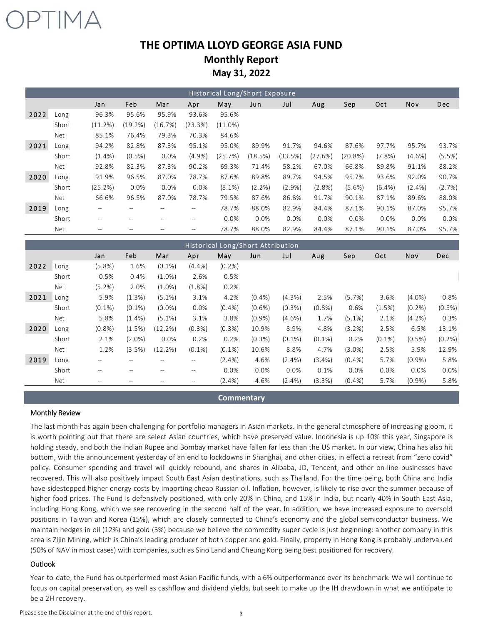

|      | Historical Long/Short Exposure |           |                   |                   |                          |            |         |           |           |            |           |           |            |
|------|--------------------------------|-----------|-------------------|-------------------|--------------------------|------------|---------|-----------|-----------|------------|-----------|-----------|------------|
|      |                                | Jan       | Feb               | Mar               | Apr                      | May        | Jun     | Jul       | Aug       | Sep        | Oct       | Nov       | <b>Dec</b> |
| 2022 | Long                           | 96.3%     | 95.6%             | 95.9%             | 93.6%                    | 95.6%      |         |           |           |            |           |           |            |
|      | Short                          | (11.2%)   | (19.2%)           | (16.7%)           | (23.3%)                  | $(11.0\%)$ |         |           |           |            |           |           |            |
|      | Net                            | 85.1%     | 76.4%             | 79.3%             | 70.3%                    | 84.6%      |         |           |           |            |           |           |            |
| 2021 | Long                           | 94.2%     | 82.8%             | 87.3%             | 95.1%                    | 95.0%      | 89.9%   | 91.7%     | 94.6%     | 87.6%      | 97.7%     | 95.7%     | 93.7%      |
|      | Short                          | $(1.4\%)$ | $(0.5\%)$         | 0.0%              | (4.9%                    | (25.7%)    | (18.5%) | (33.5%)   | (27.6%)   | $(20.8\%)$ | $(7.8\%)$ | $(4.6\%)$ | (5.5%)     |
|      | Net                            | 92.8%     | 82.3%             | 87.3%             | 90.2%                    | 69.3%      | 71.4%   | 58.2%     | 67.0%     | 66.8%      | 89.8%     | 91.1%     | 88.2%      |
| 2020 | Long                           | 91.9%     | 96.5%             | 87.0%             | 78.7%                    | 87.6%      | 89.8%   | 89.7%     | 94.5%     | 95.7%      | 93.6%     | 92.0%     | 90.7%      |
|      | Short                          | (25.2%)   | 0.0%              | 0.0%              | 0.0%                     | $(8.1\%)$  | (2.2%)  | $(2.9\%)$ | $(2.8\%)$ | $(5.6\%)$  | $(6.4\%)$ | $(2.4\%)$ | (2.7%)     |
|      | Net                            | 66.6%     | 96.5%             | 87.0%             | 78.7%                    | 79.5%      | 87.6%   | 86.8%     | 91.7%     | 90.1%      | 87.1%     | 89.6%     | 88.0%      |
| 2019 | Long                           | $- -$     | $--$              | $\hspace{0.05cm}$ | $- -$                    | 78.7%      | 88.0%   | 82.9%     | 84.4%     | 87.1%      | 90.1%     | 87.0%     | 95.7%      |
|      | Short                          | $- -$     | $\qquad \qquad -$ |                   | $\overline{\phantom{m}}$ | 0.0%       | 0.0%    | 0.0%      | 0.0%      | $0.0\%$    | 0.0%      | 0.0%      | 0.0%       |
|      | <b>Net</b>                     |           |                   |                   | --                       | 78.7%      | 88.0%   | 82.9%     | 84.4%     | 87.1%      | 90.1%     | 87.0%     | 95.7%      |

|      |       |                   |           |           |                          |           | Historical Long/Short Attribution |           |           |           |           |           |        |
|------|-------|-------------------|-----------|-----------|--------------------------|-----------|-----------------------------------|-----------|-----------|-----------|-----------|-----------|--------|
|      |       | Jan               | Feb       | Mar       | Apr                      | May       | Jun                               | Jul       | Aug       | Sep       | Oct       | Nov       | Dec    |
| 2022 | Long  | (5.8%)            | 1.6%      | $(0.1\%)$ | (4.4%)                   | $(0.2\%)$ |                                   |           |           |           |           |           |        |
|      | Short | 0.5%              | 0.4%      | $(1.0\%)$ | 2.6%                     | 0.5%      |                                   |           |           |           |           |           |        |
|      | Net   | $(5.2\%)$         | 2.0%      | $(1.0\%)$ | (1.8%)                   | 0.2%      |                                   |           |           |           |           |           |        |
| 2021 | Long  | 5.9%              | (1.3%)    | $(5.1\%)$ | 3.1%                     | 4.2%      | (0.4% )                           | (4.3%)    | 2.5%      | (5.7%)    | 3.6%      | $(4.0\%)$ | 0.8%   |
|      | Short | $(0.1\%)$         | $(0.1\%)$ | $(0.0\%)$ | 0.0%                     | $(0.4\%)$ | $(0.6\%)$                         | $(0.3\%)$ | (0.8%     | 0.6%      | (1.5%)    | $(0.2\%)$ | (0.5%) |
|      | Net   | 5.8%              | $(1.4\%)$ | $(5.1\%)$ | 3.1%                     | 3.8%      | (0.9%                             | $(4.6\%)$ | 1.7%      | $(5.1\%)$ | 2.1%      | $(4.2\%)$ | 0.3%   |
| 2020 | Long  | (0.8%             | (1.5%)    | (12.2%)   | (0.3%                    | $(0.3\%)$ | 10.9%                             | 8.9%      | 4.8%      | (3.2%)    | 2.5%      | 6.5%      | 13.1%  |
|      | Short | 2.1%              | $(2.0\%)$ | 0.0%      | 0.2%                     | 0.2%      | $(0.3\%)$                         | $(0.1\%)$ | $(0.1\%)$ | 0.2%      | $(0.1\%)$ | $(0.5\%)$ | (0.2%) |
|      | Net   | 1.2%              | (3.5%)    | (12.2%)   | $(0.1\%)$                | $(0.1\%)$ | 10.6%                             | 8.8%      | 4.7%      | $(3.0\%)$ | 2.5%      | 5.9%      | 12.9%  |
| 2019 | Long  | $- -$             | $- -$     |           | $\overline{\phantom{a}}$ | $(2.4\%)$ | 4.6%                              | $(2.4\%)$ | $(3.4\%)$ | $(0.4\%)$ | 5.7%      | $(0.9\%)$ | 5.8%   |
|      | Short | $\qquad \qquad -$ | $-$       |           | $-$                      | 0.0%      | 0.0%                              | 0.0%      | 0.1%      | 0.0%      | 0.0%      | 0.0%      | 0.0%   |
|      | Net   |                   |           |           |                          | $(2.4\%)$ | 4.6%                              | $(2.4\%)$ | (3.3%)    | $(0.4\%)$ | 5.7%      | $(0.9\%)$ | 5.8%   |

**Commentary**

#### Monthly Review

The last month has again been challenging for portfolio managers in Asian markets. In the general atmosphere of increasing gloom, it is worth pointing out that there are select Asian countries, which have preserved value. Indonesia is up 10% this year, Singapore is holding steady, and both the Indian Rupee and Bombay market have fallen far less than the US market. In our view, China has also hit bottom, with the announcement yesterday of an end to lockdowns in Shanghai, and other cities, in effect a retreat from "zero covid" policy. Consumer spending and travel will quickly rebound, and shares in Alibaba, JD, Tencent, and other on‐line businesses have recovered. This will also positively impact South East Asian destinations, such as Thailand. For the time being, both China and India have sidestepped higher energy costs by importing cheap Russian oil. Inflation, however, is likely to rise over the summer because of higher food prices. The Fund is defensively positioned, with only 20% in China, and 15% in India, but nearly 40% in South East Asia, including Hong Kong, which we see recovering in the second half of the year. In addition, we have increased exposure to oversold positions in Taiwan and Korea (15%), which are closely connected to China's economy and the global semiconductor business. We maintain hedges in oil (12%) and gold (5%) because we believe the commodity super cycle is just beginning: another company in this area is Zijin Mining, which is China's leading producer of both copper and gold. Finally, property in Hong Kong is probably undervalued (50% of NAV in most cases) with companies, such as Sino Land and Cheung Kong being best positioned for recovery.

#### **Outlook**

Year-to-date, the Fund has outperformed most Asian Pacific funds, with a 6% outperformance over its benchmark. We will continue to focus on capital preservation, as well as cashflow and dividend yields, but seek to make up the IH drawdown in what we anticipate to be a 2H recovery.